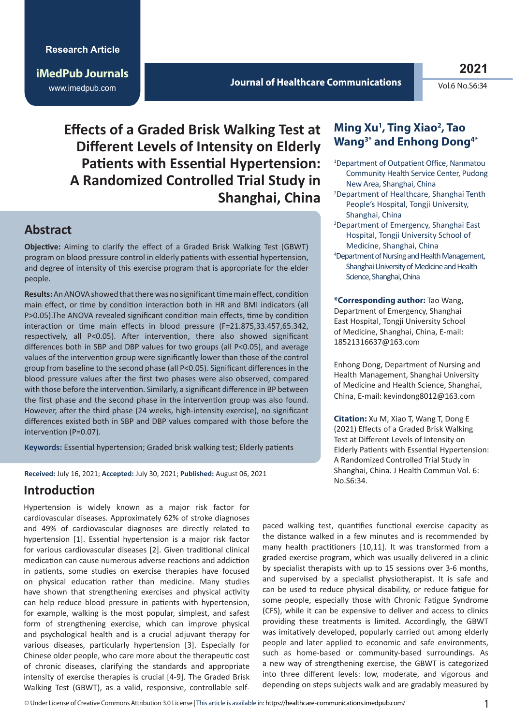**iMedPub Journals** www.imedpub.com

#### **Journal of Healthcare Communications**

**2021**

 $Vol6$  No.  $S6:34$ 

**Effects of a Graded Brisk Walking Test at Different Levels of Intensity on Elderly Patients with Essential Hypertension: A Randomized Controlled Trial Study in Shanghai, China** 

#### **Abstract**

**Objective:** Aiming to clarify the effect of a Graded Brisk Walking Test (GBWT) program on blood pressure control in elderly patients with essential hypertension, and degree of intensity of this exercise program that is appropriate for the elder people.

**Results:** An ANOVA showed that there was no significant time main effect, condition main effect, or time by condition interaction both in HR and BMI indicators (all P>0.05).The ANOVA revealed significant condition main effects, time by condition interaction or time main effects in blood pressure (F=21.875,33.457,65.342, respectively, all P<0.05). After intervention, there also showed significant differences both in SBP and DBP values for two groups (all P<0.05), and average values of the intervention group were significantly lower than those of the control group from baseline to the second phase (all P<0.05). Significant differences in the blood pressure values after the first two phases were also observed, compared with those before the intervention. Similarly, a significant difference in BP between the first phase and the second phase in the intervention group was also found. However, after the third phase (24 weeks, high-intensity exercise), no significant differences existed both in SBP and DBP values compared with those before the intervention (P=0.07).

**Keywords:** Essential hypertension; Graded brisk walking test; Elderly patients

**Received:** July 16, 2021; **Accepted:** July 30, 2021; **Published:** August 06, 2021

# **Introduction**

Hypertension is widely known as a major risk factor for cardiovascular diseases. Approximately 62% of stroke diagnoses and 49% of cardiovascular diagnoses are directly related to hypertension [1]. Essential hypertension is a major risk factor for various cardiovascular diseases [2]. Given traditional clinical medication can cause numerous adverse reactions and addiction in patients, some studies on exercise therapies have focused on physical education rather than medicine. Many studies have shown that strengthening exercises and physical activity can help reduce blood pressure in patients with hypertension, for example, walking is the most popular, simplest, and safest form of strengthening exercise, which can improve physical and psychological health and is a crucial adjuvant therapy for various diseases, particularly hypertension [3]. Especially for Chinese older people, who care more about the therapeutic cost of chronic diseases, clarifying the standards and appropriate intensity of exercise therapies is crucial [4-9]. The Graded Brisk Walking Test (GBWT), as a valid, responsive, controllable self-

### **Ming Xu1 , Ting Xiao2 , Tao Wang3\* and Enhong Dong4\***

- 1 Department of Outpatient Office, Nanmatou Community Health Service Center, Pudong New Area, Shanghai, China
- 2 Department of Healthcare, Shanghai Tenth People's Hospital, Tongji University, Shanghai, China
- 3 Department of Emergency, Shanghai East Hospital, Tongji University School of Medicine, Shanghai, China
- 4 Department of Nursing and Health Management, Shanghai University of Medicine and Health Science, Shanghai, China

**\*Corresponding author:** Tao Wang, Department of Emergency, Shanghai East Hospital, Tongji University School of Medicine, Shanghai, China, E-mail: 18521316637@163.com

Enhong Dong, Department of Nursing and Health Management, Shanghai University of Medicine and Health Science, Shanghai, China, E-mail: kevindong8012@163.com

**Citation:** Xu M, Xiao T, Wang T, Dong E (2021) Effects of a Graded Brisk Walking Test at Different Levels of Intensity on Elderly Patients with Essential Hypertension: A Randomized Controlled Trial Study in Shanghai, China. J Health Commun Vol. 6: No.S6:34.

paced walking test, quantifies functional exercise capacity as the distance walked in a few minutes and is recommended by many health practitioners [10,11]. It was transformed from a graded exercise program, which was usually delivered in a clinic by specialist therapists with up to 15 sessions over 3-6 months, and supervised by a specialist physiotherapist. It is safe and can be used to reduce physical disability, or reduce fatigue for some people, especially those with Chronic Fatigue Syndrome (CFS), while it can be expensive to deliver and access to clinics providing these treatments is limited. Accordingly, the GBWT was imitatively developed, popularly carried out among elderly people and later applied to economic and safe environments, such as home-based or community-based surroundings. As a new way of strengthening exercise, the GBWT is categorized into three different levels: low, moderate, and vigorous and depending on steps subjects walk and are gradably measured by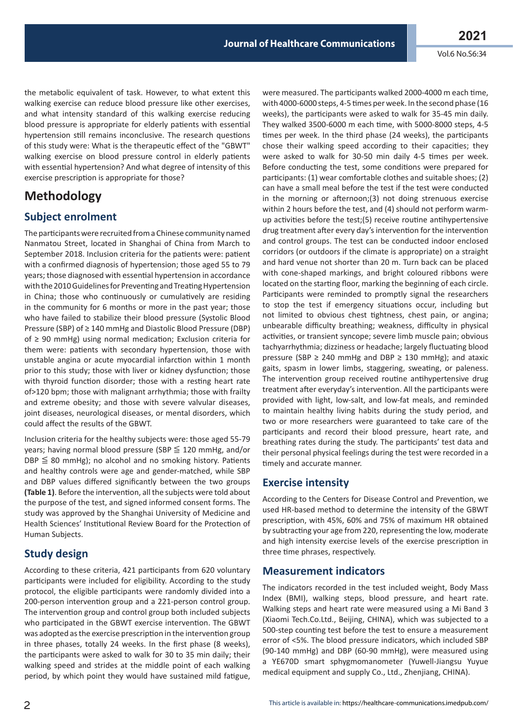the metabolic equivalent of task. However, to what extent this walking exercise can reduce blood pressure like other exercises, and what intensity standard of this walking exercise reducing blood pressure is appropriate for elderly patients with essential hypertension still remains inconclusive. The research questions of this study were: What is the therapeutic effect of the "GBWT" walking exercise on blood pressure control in elderly patients with essential hypertension? And what degree of intensity of this exercise prescription is appropriate for those?

# **Methodology**

#### **Subject enrolment**

The participants were recruited from a Chinese community named Nanmatou Street, located in Shanghai of China from March to September 2018. Inclusion criteria for the patients were: patient with a confirmed diagnosis of hypertension; those aged 55 to 79 years; those diagnosed with essential hypertension in accordance with the 2010 Guidelines for Preventing and Treating Hypertension in China; those who continuously or cumulatively are residing in the community for 6 months or more in the past year; those who have failed to stabilize their blood pressure (Systolic Blood Pressure (SBP) of ≥ 140 mmHg and Diastolic Blood Pressure (DBP) of ≥ 90 mmHg) using normal medication; Exclusion criteria for them were: patients with secondary hypertension, those with unstable angina or acute myocardial infarction within 1 month prior to this study; those with liver or kidney dysfunction; those with thyroid function disorder; those with a resting heart rate of>120 bpm; those with malignant arrhythmia; those with frailty and extreme obesity; and those with severe valvular diseases, joint diseases, neurological diseases, or mental disorders, which could affect the results of the GBWT.

Inclusion criteria for the healthy subjects were: those aged 55-79 years; having normal blood pressure (SBP  $\leq$  120 mmHg, and/or  $DBP \leq 80$  mmHg); no alcohol and no smoking history. Patients and healthy controls were age and gender-matched, while SBP and DBP values differed significantly between the two groups **(Table 1)**. Before the intervention, all the subjects were told about the purpose of the test, and signed informed consent forms. The study was approved by the Shanghai University of Medicine and Health Sciences' Institutional Review Board for the Protection of Human Subjects.

#### **Study design**

According to these criteria, 421 participants from 620 voluntary participants were included for eligibility. According to the study protocol, the eligible participants were randomly divided into a 200-person intervention group and a 221-person control group. The intervention group and control group both included subjects who participated in the GBWT exercise intervention. The GBWT was adopted as the exercise prescription in the intervention group in three phases, totally 24 weeks. In the first phase (8 weeks), the participants were asked to walk for 30 to 35 min daily; their walking speed and strides at the middle point of each walking period, by which point they would have sustained mild fatigue, were measured. The participants walked 2000-4000 m each time, with 4000-6000 steps, 4-5 times per week. In the second phase (16 weeks), the participants were asked to walk for 35-45 min daily. They walked 3500-6000 m each time, with 5000-8000 steps, 4-5 times per week. In the third phase (24 weeks), the participants chose their walking speed according to their capacities; they were asked to walk for 30-50 min daily 4-5 times per week. Before conducting the test, some conditions were prepared for participants: (1) wear comfortable clothes and suitable shoes; (2) can have a small meal before the test if the test were conducted in the morning or afternoon;(3) not doing strenuous exercise within 2 hours before the test, and (4) should not perform warmup activities before the test;(5) receive routine antihypertensive drug treatment after every day's intervention for the intervention and control groups. The test can be conducted indoor enclosed corridors (or outdoors if the climate is appropriate) on a straight and hard venue not shorter than 20 m. Turn back can be placed with cone-shaped markings, and bright coloured ribbons were located on the starting floor, marking the beginning of each circle. Participants were reminded to promptly signal the researchers to stop the test if emergency situations occur, including but not limited to obvious chest tightness, chest pain, or angina; unbearable difficulty breathing; weakness, difficulty in physical activities, or transient syncope; severe limb muscle pain; obvious tachyarrhythmia; dizziness or headache; largely fluctuating blood pressure (SBP  $\geq$  240 mmHg and DBP  $\geq$  130 mmHg); and ataxic gaits, spasm in lower limbs, staggering, sweating, or paleness. The intervention group received routine antihypertensive drug treatment after everyday's intervention. All the participants were provided with light, low-salt, and low-fat meals, and reminded to maintain healthy living habits during the study period, and two or more researchers were guaranteed to take care of the participants and record their blood pressure, heart rate, and breathing rates during the study. The participants' test data and their personal physical feelings during the test were recorded in a timely and accurate manner.

#### **Exercise intensity**

According to the Centers for Disease Control and Prevention, we used HR-based method to determine the intensity of the GBWT prescription, with 45%, 60% and 75% of maximum HR obtained by subtracting your age from 220, representing the low, moderate and high intensity exercise levels of the exercise prescription in three time phrases, respectively.

#### **Measurement indicators**

The indicators recorded in the test included weight, Body Mass Index (BMI), walking steps, blood pressure, and heart rate. Walking steps and heart rate were measured using a Mi Band 3 (Xiaomi Tech.Co.Ltd., Beijing, CHINA), which was subjected to a 500-step counting test before the test to ensure a measurement error of <5%. The blood pressure indicators, which included SBP (90-140 mmHg) and DBP (60-90 mmHg), were measured using a YE670D smart sphygmomanometer (Yuwell-Jiangsu Yuyue medical equipment and supply Co., Ltd., Zhenjiang, CHINA).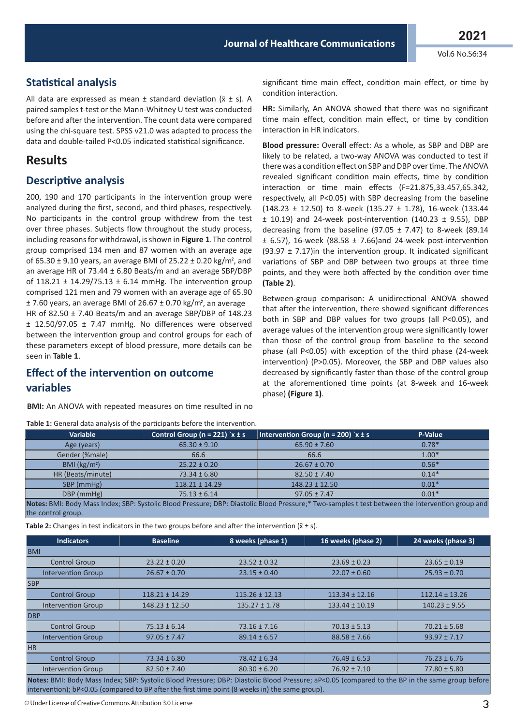#### **Statistical analysis**

All data are expressed as mean  $\pm$  standard deviation ( $\bar{x} \pm s$ ). A paired samples t-test or the Mann-Whitney U test was conducted before and after the intervention. The count data were compared using the chi-square test. SPSS v21.0 was adapted to process the data and double-tailed P<0.05 indicated statistical significance.

# **Results**

#### **Descriptive analysis**

200, 190 and 170 participants in the intervention group were analyzed during the first, second, and third phases, respectively. No participants in the control group withdrew from the test over three phases. Subjects flow throughout the study process, including reasons for withdrawal, is shown in **Figure 1**. The control group comprised 134 men and 87 women with an average age of 65.30  $\pm$  9.10 years, an average BMI of 25.22  $\pm$  0.20 kg/m<sup>2</sup>, and an average HR of 73.44 ± 6.80 Beats/m and an average SBP/DBP of  $118.21 \pm 14.29/75.13 \pm 6.14$  mmHg. The intervention group comprised 121 men and 79 women with an average age of 65.90 ± 7.60 years, an average BMI of 26.67 ± 0.70 kg/m , an average 2 HR of 82.50 ± 7.40 Beats/m and an average SBP/DBP of 148.23

± 12.50/97.05 ± 7.47 mmHg. No differences were observed between the intervention group and control groups for each of these parameters except of blood pressure, more details can be seen in **Table 1**.

### **Effect of the intervention on outcome variables**

**BMI:** An ANOVA with repeated measures on time resulted in no

**Table 1:** General data analysis of the participants before the intervention.

#### significant time main effect, condition main effect, or time by condition interaction.

**HR:** Similarly, An ANOVA showed that there was no significant time main effect, condition main effect, or time by condition interaction in HR indicators.

**Blood pressure:** Overall effect: As a whole, as SBP and DBP are likely to be related, a two-way ANOVA was conducted to test if there was a condition effect on SBP and DBP over time. The ANOVA revealed significant condition main effects, time by condition interaction or time main effects (F=21.875,33.457,65.342, respectively, all P<0.05) with SBP decreasing from the baseline (148.23 ± 12.50) to 8-week (135.27 ± 1.78), 16-week (133.44 ± 10.19) and 24-week post-intervention (140.23 ± 9.55), DBP decreasing from the baseline (97.05  $\pm$  7.47) to 8-week (89.14  $\pm$  6.57), 16-week (88.58  $\pm$  7.66) and 24-week post-intervention (93.97  $\pm$  7.17) in the intervention group. It indicated significant variations of SBP and DBP between two groups at three time points, and they were both affected by the condition over time **(Table 2)**.

Between-group comparison: A unidirectional ANOVA showed that after the intervention, there showed significant differences both in SBP and DBP values for two groups (all P<0.05), and average values of the intervention group were significantly lower than those of the control group from baseline to the second phase (all P<0.05) with exception of the third phase (24-week intervention) (P>0.05). Moreover, the SBP and DBP values also decreased by significantly faster than those of the control group at the aforementioned time points (at 8-week and 16-week phase) **(Figure 1)**.

| Variable                                                                                                                                         | Control Group (n = 221) $x \pm s$ | Intervention Group (n = 200) $x \pm s$ | P-Value |  |  |  |
|--------------------------------------------------------------------------------------------------------------------------------------------------|-----------------------------------|----------------------------------------|---------|--|--|--|
| Age (years)                                                                                                                                      | $65.30 \pm 9.10$                  | $65.90 \pm 7.60$                       | $0.78*$ |  |  |  |
| Gender (%male)                                                                                                                                   | 66.6                              | 66.6                                   | $1.00*$ |  |  |  |
| BMI ( $\text{kg/m}^2$ )                                                                                                                          | $25.22 \pm 0.20$                  | $26.67 \pm 0.70$                       | $0.56*$ |  |  |  |
| HR (Beats/minute)                                                                                                                                | $73.34 \pm 6.80$                  | $82.50 \pm 7.40$                       | $0.14*$ |  |  |  |
| SBP (mmHg)                                                                                                                                       | $118.21 \pm 14.29$                | $148.23 \pm 12.50$                     | $0.01*$ |  |  |  |
| DBP (mmHg)                                                                                                                                       | $75.13 \pm 6.14$                  | $97.05 \pm 7.47$                       | $0.01*$ |  |  |  |
| Notes: RMI: Body Mass Index: SRP: Systolic Blood Pressure: DRP: Diastolic Blood Pressure:* Two-samples t test between the intervention group and |                                   |                                        |         |  |  |  |

**Notes:** BMI: Body Mass Index; SBP: Systolic Blood Pressure; DBP: Diastolic Blood Pressure;\* Two-samples t test between the intervention group and the control group.

**Table 2:** Changes in test indicators in the two groups before and after the intervention  $(\bar{x} \pm s)$ .

| <b>Indicators</b>                               | <b>Baseline</b>    | 8 weeks (phase 1)  | 16 weeks (phase 2) | 24 weeks (phase 3) |
|-------------------------------------------------|--------------------|--------------------|--------------------|--------------------|
| <b>BMI</b>                                      |                    |                    |                    |                    |
| <b>Control Group</b>                            | $23.22 \pm 0.20$   | $23.52 \pm 0.32$   | $23.69 \pm 0.23$   | $23.65 \pm 0.19$   |
| <b>Intervention Group</b>                       | $26.67 \pm 0.70$   | $23.15 \pm 0.40$   | $22.07 \pm 0.60$   | $25.93 \pm 0.70$   |
| <b>SBP</b>                                      |                    |                    |                    |                    |
| <b>Control Group</b>                            | $118.21 \pm 14.29$ | $115.26 \pm 12.13$ | $113.34 \pm 12.16$ | $112.14 \pm 13.26$ |
| <b>Intervention Group</b>                       | $148.23 \pm 12.50$ | $135.27 \pm 1.78$  | $133.44 \pm 10.19$ | $140.23 \pm 9.55$  |
| <b>DBP</b>                                      |                    |                    |                    |                    |
| <b>Control Group</b>                            | $75.13 \pm 6.14$   | $73.16 \pm 7.16$   | $70.13 \pm 5.13$   | $70.21 \pm 5.68$   |
| <b>Intervention Group</b>                       | $97.05 \pm 7.47$   | $89.14 \pm 6.57$   | $88.58 \pm 7.66$   | $93.97 \pm 7.17$   |
| <b>HR</b>                                       |                    |                    |                    |                    |
| <b>Control Group</b>                            | $73.34 \pm 6.80$   | $78.42 \pm 6.34$   | $76.49 \pm 6.53$   | $76.23 \pm 6.76$   |
| <b>Intervention Group</b>                       | $82.50 \pm 7.40$   | $80.30 \pm 6.20$   | $76.92 \pm 7.10$   | $77.80 \pm 5.80$   |
| 그는 그만 아니라 그는 그만 아니라 그만 아니라 그만 아니라 그만 아니라 그만 아니라 |                    |                    |                    |                    |

**Notes:** BMI: Body Mass Index; SBP: Systolic Blood Pressure; DBP: Diastolic Blood Pressure; aP<0.05 (compared to the BP in the same group before intervention); bP<0.05 (compared to BP after the first time point (8 weeks in) the same group).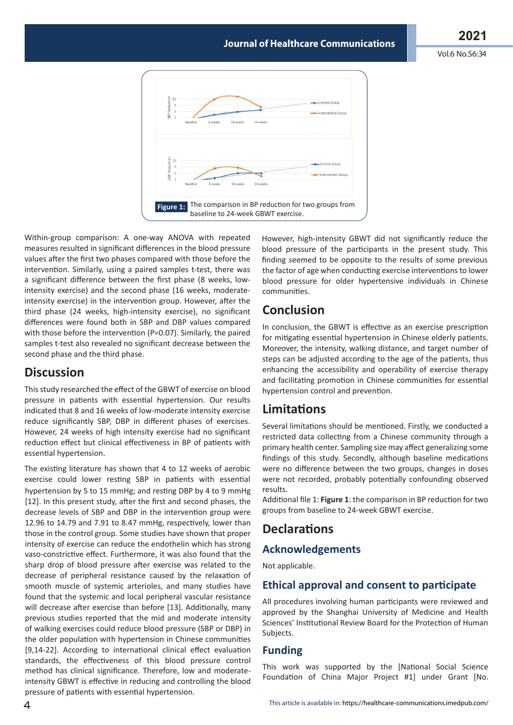Vol.6 No.S6:34



Within-group comparison: A one-way ANOVA with repeated measures resulted in significant differences in the blood pressure values after the first two phases compared with those before the intervention. Similarly, using a paired samples t-test, there was a significant difference between the first phase (8 weeks, lowintensity exercise) and the second phase (16 weeks, moderateintensity exercise) in the intervention group. However, after the third phase (24 weeks, high-intensity exercise), no significant differences were found both in SBP and DBP values compared with those before the intervention (P=0.07). Similarly, the paired samples t-test also revealed no significant decrease between the second phase and the third phase.

# **Discussion**

This study researched the effect of the GBWT of exercise on blood pressure in patients with essential hypertension. Our results indicated that 8 and 16 weeks of low-moderate intensity exercise reduce significantly SBP, DBP in different phases of exercises. However, 24 weeks of high intensity exercise had no significant reduction effect but clinical effectiveness in BP of patients with essential hypertension.

The existing literature has shown that 4 to 12 weeks of aerobic exercise could lower resting SBP in patients with essential hypertension by 5 to 15 mmHg; and resting DBP by 4 to 9 mmHg [12]. In this present study, after the first and second phases, the decrease levels of SBP and DBP in the intervention group were 12.96 to 14.79 and 7.91 to 8.47 mmHg, respectively, lower than those in the control group. Some studies have shown that proper intensity of exercise can reduce the endothelin which has strong vaso-constrictive effect. Furthermore, it was also found that the sharp drop of blood pressure after exercise was related to the decrease of peripheral resistance caused by the relaxation of smooth muscle of systemic arterioles, and many studies have found that the systemic and local peripheral vascular resistance will decrease after exercise than before [13]. Additionally, many previous studies reported that the mid and moderate intensity of walking exercises could reduce blood pressure (SBP or DBP) in the older population with hypertension in Chinese communities [9,14-22]. According to international clinical effect evaluation standards, the effectiveness of this blood pressure control method has clinical significance. Therefore, low and moderateintensity GBWT is effective in reducing and controlling the blood pressure of patients with essential hypertension.

However, high-intensity GBWT did not significantly reduce the blood pressure of the participants in the present study. This finding seemed to be opposite to the results of some previous the factor of age when conducting exercise interventions to lower blood pressure for older hypertensive individuals in Chinese communities.

# **Conclusion**

In conclusion, the GBWT is effective as an exercise prescription for mitigating essential hypertension in Chinese elderly patients. Moreover, the intensity, walking distance, and target number of steps can be adjusted according to the age of the patients, thus enhancing the accessibility and operability of exercise therapy and facilitating promotion in Chinese communities for essential hypertension control and prevention.

# **Limitations**

Several limitations should be mentioned. Firstly, we conducted a restricted data collecting from a Chinese community through a primary health center. Sampling size may affect generalizing some findings of this study. Secondly, although baseline medications were no difference between the two groups, changes in doses were not recorded, probably potentially confounding observed results.

Additional file 1: **Figure 1**: the comparison in BP reduction for two groups from baseline to 24-week GBWT exercise.

# **Declarations**

# **Acknowledgements**

Not applicable.

#### **Ethical approval and consent to participate**

All procedures involving human participants were reviewed and approved by the Shanghai University of Medicine and Health Sciences' Institutional Review Board for the Protection of Human Subjects.

#### **Funding**

This work was supported by the [National Social Science Foundation of China Major Project #1] under Grant [No.